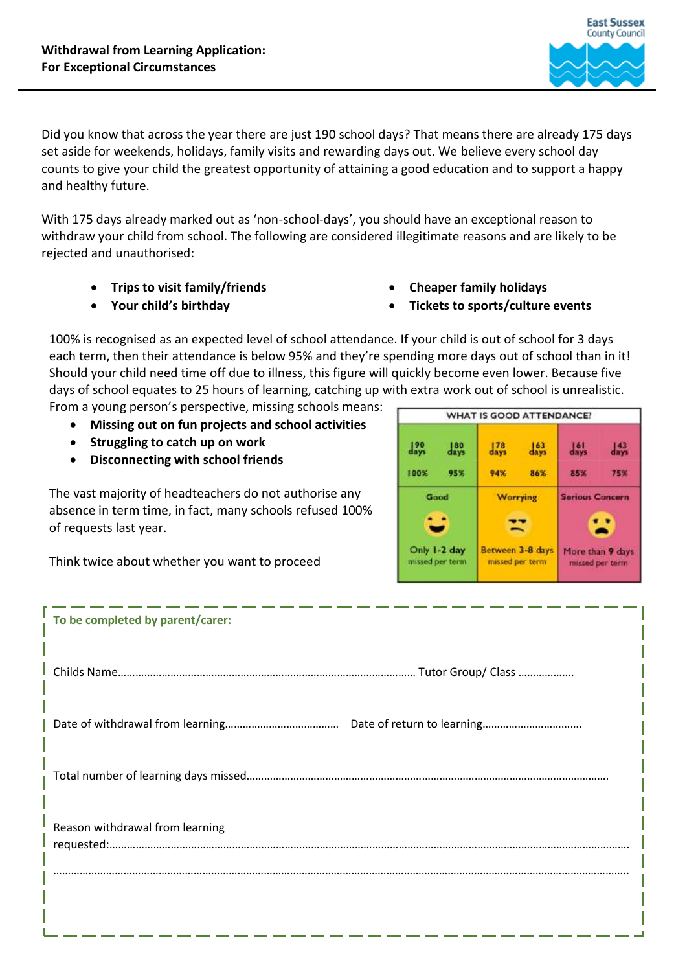

Did you know that across the year there are just 190 school days? That means there are already 175 days set aside for weekends, holidays, family visits and rewarding days out. We believe every school day counts to give your child the greatest opportunity of attaining a good education and to support a happy and healthy future.

With 175 days already marked out as 'non-school-days', you should have an exceptional reason to withdraw your child from school. The following are considered illegitimate reasons and are likely to be rejected and unauthorised:

- **Trips to visit family/friends**
- **Your child's birthday**
- **Cheaper family holidays**
- **Tickets to sports/culture events**

100% is recognised as an expected level of school attendance. If your child is out of school for 3 days each term, then their attendance is below 95% and they're spending more days out of school than in it! Should your child need time off due to illness, this figure will quickly become even lower. Because five days of school equates to 25 hours of learning, catching up with extra work out of school is unrealistic. From a young person's perspective, missing schools means:

- **Missing out on fun projects and school activities**
- **Struggling to catch up on work**
- **Disconnecting with school friends**

The vast majority of headteachers do not authorise any absence in term time, in fact, many schools refused 100% of requests last year.

Think twice about whether you want to proceed



| To be completed by parent/carer: |  |
|----------------------------------|--|
|                                  |  |
|                                  |  |
|                                  |  |
| Reason withdrawal from learning  |  |
|                                  |  |
|                                  |  |